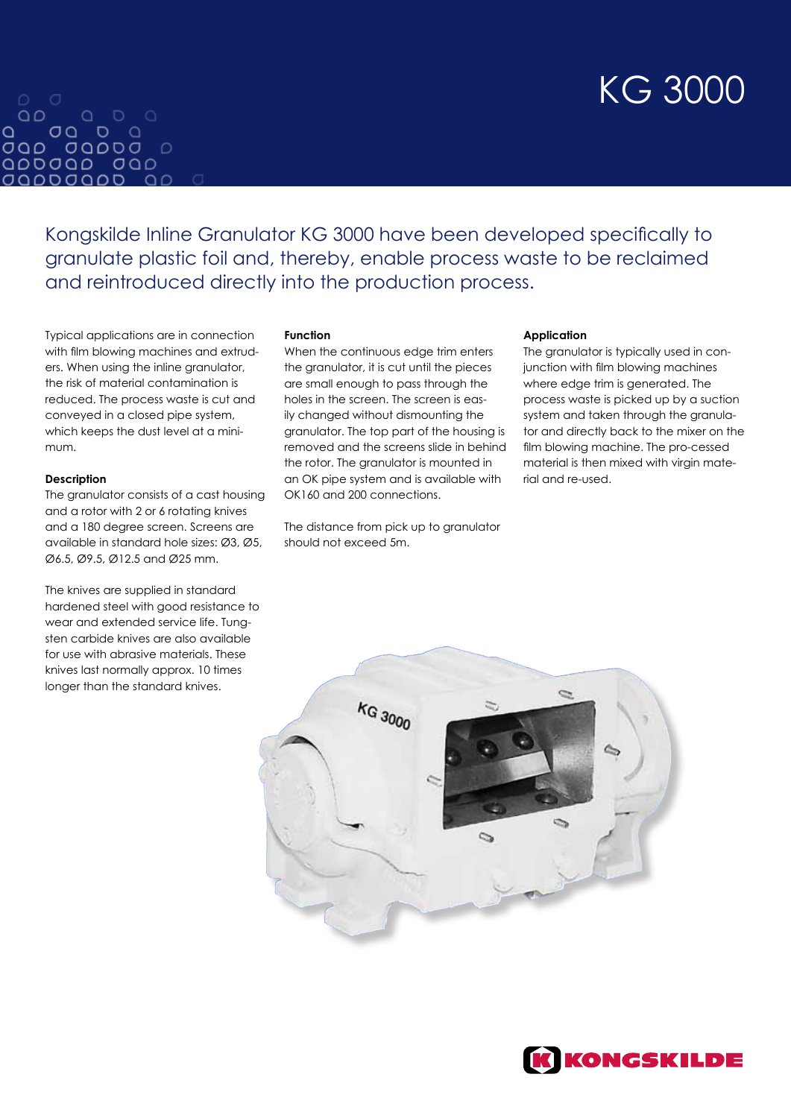# KG 3000

#### $\begin{array}{ccccccccc}\n\bullet & \bullet & \bullet & \bullet & \bullet\n\end{array}$  $\Omega$  $\Omega$  $00D<sub>0</sub>$ OQD 0QDDO D QODOQO OQO *OQDDOQD*

Kongskilde Inline Granulator KG 3000 have been developed specifically to granulate plastic foil and, thereby, enable process waste to be reclaimed and reintroduced directly into the production process.

Typical applications are in connection with film blowing machines and extruders. When using the inline granulator, the risk of material contamination is reduced. The process waste is cut and conveyed in a closed pipe system, which keeps the dust level at a minimum.

## **Description**

The granulator consists of a cast housing and a rotor with 2 or 6 rotating knives and a 180 degree screen. Screens are available in standard hole sizes: Ø3, Ø5, Ø6.5, Ø9.5, Ø12.5 and Ø25 mm.

The knives are supplied in standard hardened steel with good resistance to wear and extended service life. Tungsten carbide knives are also available for use with abrasive materials. These knives last normally approx. 10 times longer than the standard knives.

## **Function**

When the continuous edge trim enters the granulator, it is cut until the pieces are small enough to pass through the holes in the screen. The screen is easily changed without dismounting the granulator. The top part of the housing is removed and the screens slide in behind the rotor. The granulator is mounted in an OK pipe system and is available with OK160 and 200 connections.

The distance from pick up to granulator should not exceed 5m.

### **Application**

The granulator is typically used in conjunction with film blowing machines where edge trim is generated. The process waste is picked up by a suction system and taken through the granulator and directly back to the mixer on the film blowing machine. The pro-cessed material is then mixed with virgin material and re-used.